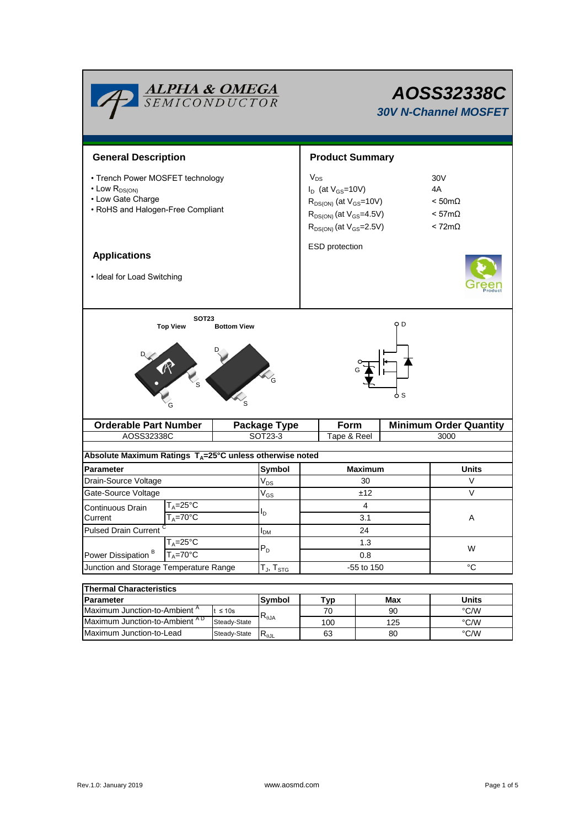| <b>ALPHA &amp; OMEGA</b><br>SEMICONDUCTOR                                                                              |              | AOSS32338C<br><b>30V N-Channel MOSFET</b>                                                                                                       |             |                                                                                          |                               |  |  |  |
|------------------------------------------------------------------------------------------------------------------------|--------------|-------------------------------------------------------------------------------------------------------------------------------------------------|-------------|------------------------------------------------------------------------------------------|-------------------------------|--|--|--|
| <b>General Description</b>                                                                                             |              | <b>Product Summary</b>                                                                                                                          |             |                                                                                          |                               |  |  |  |
| • Trench Power MOSFET technology<br>$\cdot$ Low $R_{DS(ON)}$<br>• Low Gate Charge<br>• RoHS and Halogen-Free Compliant |              | $V_{DS}$<br>$I_D$ (at $V_{GS}$ =10V)<br>$R_{DS(ON)}$ (at $V_{GS}$ =10V)<br>$R_{DS(ON)}$ (at $V_{GS}$ =4.5V)<br>$R_{DS(ON)}$ (at $V_{GS}$ =2.5V) |             | 30 <sub>V</sub><br>4A<br>$< 50 \text{m}\Omega$<br>$< 57 \text{m}\Omega$<br>$< 72m\Omega$ |                               |  |  |  |
| <b>Applications</b>                                                                                                    |              | ESD protection                                                                                                                                  |             |                                                                                          |                               |  |  |  |
| • Ideal for Load Switching                                                                                             |              |                                                                                                                                                 |             |                                                                                          |                               |  |  |  |
|                                                                                                                        |              |                                                                                                                                                 | 6 S         |                                                                                          |                               |  |  |  |
| <b>Orderable Part Number</b>                                                                                           |              | <b>Package Type</b>                                                                                                                             | Form        |                                                                                          | <b>Minimum Order Quantity</b> |  |  |  |
| AOSS32338C                                                                                                             |              | SOT23-3                                                                                                                                         | Tape & Reel |                                                                                          | 3000                          |  |  |  |
| Absolute Maximum Ratings $T_A = 25^\circ C$ unless otherwise noted                                                     |              |                                                                                                                                                 |             |                                                                                          |                               |  |  |  |
| <b>Parameter</b>                                                                                                       |              | Symbol                                                                                                                                          |             | <b>Maximum</b>                                                                           | <b>Units</b>                  |  |  |  |
| Drain-Source Voltage                                                                                                   |              | $V_{DS}$                                                                                                                                        | 30          |                                                                                          | V                             |  |  |  |
| Gate-Source Voltage                                                                                                    |              | $\rm V_{GS}$                                                                                                                                    | ±12         |                                                                                          | V                             |  |  |  |
| T <sub>A</sub> =25°C<br>Continuous Drain                                                                               |              |                                                                                                                                                 |             | 4                                                                                        |                               |  |  |  |
| Current<br>$T_A = 70^{\circ}C$                                                                                         |              | I <sub>D</sub>                                                                                                                                  | 3.1         |                                                                                          | A                             |  |  |  |
| <b>Pulsed Drain Current</b>                                                                                            |              | I <sub>DM</sub>                                                                                                                                 | 24          |                                                                                          |                               |  |  |  |
| $T_A = 25$ °C<br>Power Dissipation <sup>B</sup><br>$T_A = 70^\circ C$                                                  |              | $P_D$                                                                                                                                           | 1.3<br>0.8  |                                                                                          | W                             |  |  |  |
| Junction and Storage Temperature Range                                                                                 |              | $T_J$ , $T_{STG}$                                                                                                                               | -55 to 150  |                                                                                          | $^{\circ}C$                   |  |  |  |
|                                                                                                                        |              |                                                                                                                                                 |             |                                                                                          |                               |  |  |  |
| <b>Thermal Characteristics</b>                                                                                         |              |                                                                                                                                                 |             |                                                                                          |                               |  |  |  |
| Parameter                                                                                                              |              |                                                                                                                                                 |             |                                                                                          |                               |  |  |  |
| Maximum Junction-to-Ambient A                                                                                          | $t \leq 10s$ | Symbol<br>$\mathsf{R}_{\theta\mathsf{JA}}$                                                                                                      | Typ<br>70   | Max<br>90                                                                                | <b>Units</b><br>$\degree$ C/W |  |  |  |

Steady-State  $R_{\theta$ JL

Maximum Junction-to-Lead Steady-State R<sub>eJL</sub> 63 80 °C/W

63

80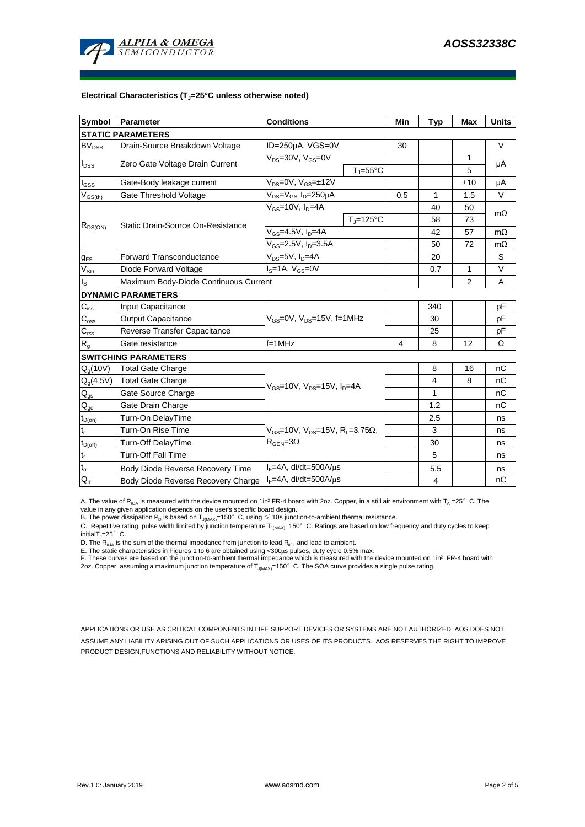

#### **Electrical Characteristics (TJ=25°C unless otherwise noted)**

| Symbol                                 | Parameter                             | <b>Conditions</b>                                                                           | Min                 | <b>Typ</b> | <b>Max</b>     | <b>Units</b>   |           |  |  |  |  |  |
|----------------------------------------|---------------------------------------|---------------------------------------------------------------------------------------------|---------------------|------------|----------------|----------------|-----------|--|--|--|--|--|
| <b>STATIC PARAMETERS</b>               |                                       |                                                                                             |                     |            |                |                |           |  |  |  |  |  |
| $BV_{DSS}$                             | Drain-Source Breakdown Voltage        | ID=250µA, VGS=0V                                                                            |                     | 30         |                |                | $\vee$    |  |  |  |  |  |
| $I_{DSS}$                              |                                       | $V_{DS}$ =30V, $V_{GS}$ =0V                                                                 |                     |            |                | 1              | μA        |  |  |  |  |  |
|                                        | Zero Gate Voltage Drain Current       |                                                                                             | $T_i = 55^{\circ}C$ |            |                | 5              |           |  |  |  |  |  |
| $I_{GSS}$                              | Gate-Body leakage current             | $V_{DS}=0V$ , $V_{GS}=±12V$                                                                 |                     |            |                | ±10            | μA        |  |  |  |  |  |
| $V_{GS(th)}$                           | Gate Threshold Voltage                | $V_{DS} = V_{GS}$ , $I_D = 250 \mu A$                                                       |                     | 0.5        | 1              | 1.5            | $\vee$    |  |  |  |  |  |
| $R_{DS(ON)}$                           | Static Drain-Source On-Resistance     | $V_{GS}$ =10V, $I_{D}$ =4A                                                                  |                     |            | 40             | 50             | $m\Omega$ |  |  |  |  |  |
|                                        |                                       |                                                                                             | $T_{\rm J}$ =125°C  |            | 58             | 73             |           |  |  |  |  |  |
|                                        |                                       | $V_{GS}$ =4.5V, $I_D$ =4A                                                                   |                     |            | 42             | 57             | $m\Omega$ |  |  |  |  |  |
|                                        |                                       | $V_{GS} = 2.5V, I_D = 3.5A$                                                                 |                     | 50         | 72             | $m\Omega$      |           |  |  |  |  |  |
| $g_{FS}$                               | <b>Forward Transconductance</b>       | $\overline{V_{DS}}$ =5V, I <sub>D</sub> =4A                                                 |                     |            | 20             |                | S         |  |  |  |  |  |
| $V_{SD}$                               | Diode Forward Voltage                 | $\overline{I_{S}}$ =1A, $V_{GS}$ =0V                                                        |                     |            | 0.7            | $\mathbf{1}$   | V         |  |  |  |  |  |
| $I_{\rm S}$                            | Maximum Body-Diode Continuous Current |                                                                                             |                     |            |                | $\overline{2}$ | A         |  |  |  |  |  |
|                                        | <b>DYNAMIC PARAMETERS</b>             |                                                                                             |                     |            |                |                |           |  |  |  |  |  |
| $\mathbf{C}_{\text{iss}}$              | Input Capacitance                     |                                                                                             |                     | 340        |                | рF             |           |  |  |  |  |  |
| $C_{\rm oss}$                          | Output Capacitance                    | $V_{GS}$ =0V, $V_{DS}$ =15V, f=1MHz                                                         |                     |            | 30             |                | рF        |  |  |  |  |  |
| $\overline{C_{\rm rss}}$               | Reverse Transfer Capacitance          |                                                                                             |                     | 25         |                | pF             |           |  |  |  |  |  |
| R <sub>g</sub>                         | Gate resistance                       | $f = 1$ MHz                                                                                 | 4                   | 8          | 12             | Ω              |           |  |  |  |  |  |
|                                        | <b>SWITCHING PARAMETERS</b>           |                                                                                             |                     |            |                |                |           |  |  |  |  |  |
| $Q_g(10V)$                             | <b>Total Gate Charge</b>              | $V_{GS}$ =10V, $V_{DS}$ =15V, $I_{D}$ =4A                                                   |                     |            | 8              | 16             | пC        |  |  |  |  |  |
| $Q_g(4.5V)$                            | <b>Total Gate Charge</b>              |                                                                                             |                     |            | 4              | 8              | nС        |  |  |  |  |  |
| $\mathsf{Q}_{\mathsf{gs}}$             | Gate Source Charge                    |                                                                                             |                     |            | 1              |                | пC        |  |  |  |  |  |
| $\mathsf{Q}_{\underline{\mathsf{gd}}}$ | Gate Drain Charge                     |                                                                                             |                     |            | 1.2            |                | nC        |  |  |  |  |  |
| $t_{D(on)}$                            | Turn-On DelayTime                     | $V_{GS}$ =10V, $V_{DS}$ =15V, R <sub>L</sub> =3.75 $\Omega$ ,<br>$R_{\text{GEN}} = 3\Omega$ |                     |            | 2.5            |                | ns        |  |  |  |  |  |
| $t_r$                                  | Turn-On Rise Time                     |                                                                                             |                     |            | 3              |                | ns        |  |  |  |  |  |
| $t_{D(off)}$                           | Turn-Off DelayTime                    |                                                                                             |                     |            | 30             |                | ns        |  |  |  |  |  |
| $\mathsf{t}_{\mathsf{f}}$              | <b>Turn-Off Fall Time</b>             |                                                                                             |                     |            | 5              |                | ns        |  |  |  |  |  |
| $\mathfrak{t}_{\text{rr}}$             | Body Diode Reverse Recovery Time      | $I_F = 4A$ , di/dt=500A/ $\mu$ s                                                            |                     |            | 5.5            |                | ns        |  |  |  |  |  |
| $Q_{rr}$                               | Body Diode Reverse Recovery Charge    | $I_F = 4A$ , di/dt=500A/ $\mu$ s                                                            |                     |            | $\overline{4}$ |                | nC        |  |  |  |  |  |

A. The value of R<sub>aJA</sub> is measured with the device mounted on 1in<sup>2</sup> FR-4 board with 2oz. Copper, in a still air environment with T<sub>A</sub> =25° C. The value in any given application depends on the user's specific board design.

B. The power dissipation  ${\sf P}_{\sf D}$  is based on  ${\sf T}_{\sf J(MAX)}$ =150 $^\circ\,$  C, using  $\leqslant$  10s junction-to-ambient thermal resistance.

C. Repetitive rating, pulse width limited by junction temperature T $_{\rm J(MAX)}$ =150°C. Ratings are based on low frequency and duty cycles to keep initialT $j=25^\circ$  C.

D. The  $R_{q_0A}$  is the sum of the thermal impedance from junction to lead  $R_{q_0L}$  and lead to ambient.

E. The static characteristics in Figures 1 to 6 are obtained using <300µs pulses, duty cycle 0.5% max.<br>F. These curves are based on the junction-to-ambient thermal impedance which is measured with the device mounted on 1in

APPLICATIONS OR USE AS CRITICAL COMPONENTS IN LIFE SUPPORT DEVICES OR SYSTEMS ARE NOT AUTHORIZED. AOS DOES NOT ASSUME ANY LIABILITY ARISING OUT OF SUCH APPLICATIONS OR USES OF ITS PRODUCTS. AOS RESERVES THE RIGHT TO IMPROVE PRODUCT DESIGN,FUNCTIONS AND RELIABILITY WITHOUT NOTICE.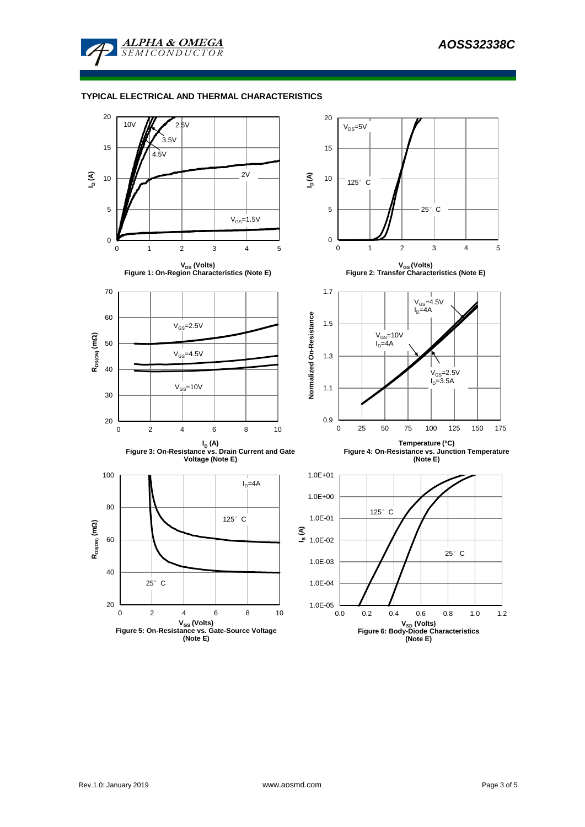

### **TYPICAL ELECTRICAL AND THERMAL CHARACTERISTICS**

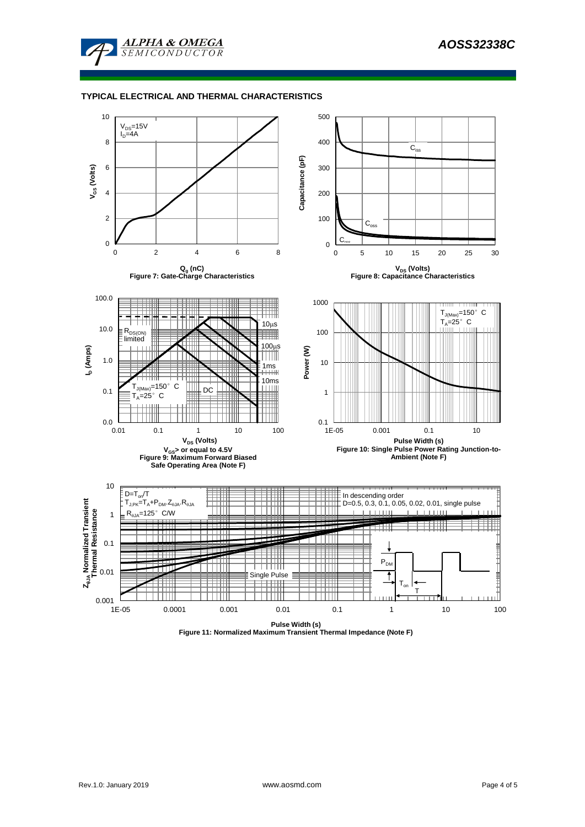

### **TYPICAL ELECTRICAL AND THERMAL CHARACTERISTICS**



**Figure 11: Normalized Maximum Transient Thermal Impedance (Note F)**